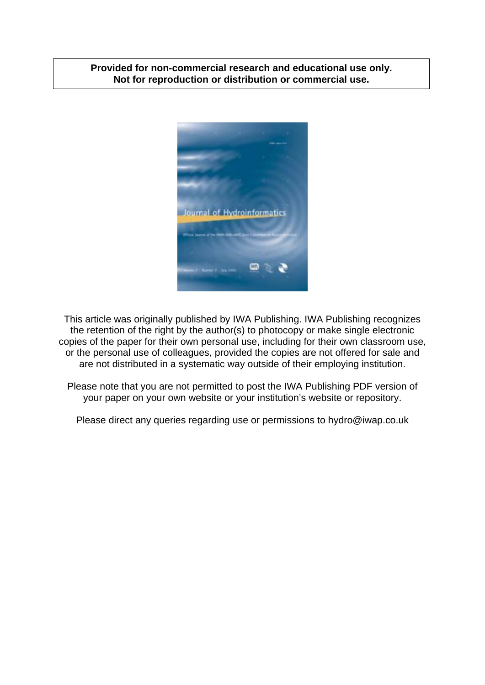# **Provided for non-commercial research and educational use only. Not for reproduction or distribution or commercial use.**



This article was originally published by IWA Publishing. IWA Publishing recognizes the retention of the right by the author(s) to photocopy or make single electronic copies of the paper for their own personal use, including for their own classroom use, or the personal use of colleagues, provided the copies are not offered for sale and are not distributed in a systematic way outside of their employing institution.

Please note that you are not permitted to post the IWA Publishing PDF version of your paper on your own website or your institution's website or repository.

Please direct any queries regarding use or permissions to hydro@iwap.co.uk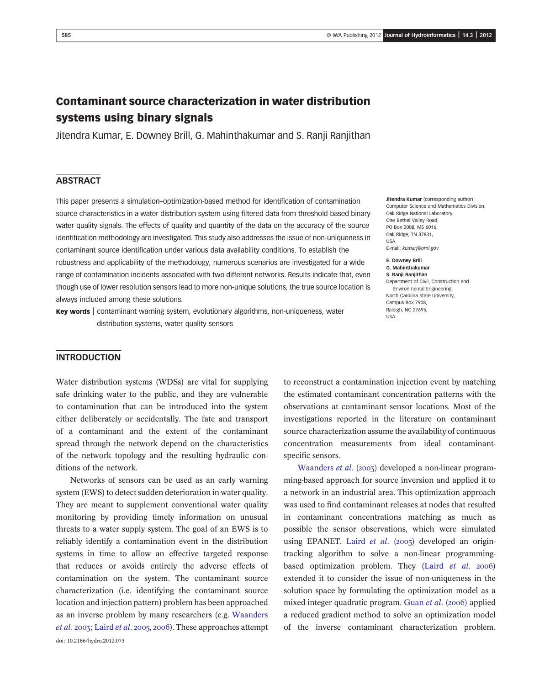# Contaminant source characterization in water distribution systems using binary signals

Jitendra Kumar, E. Downey Brill, G. Mahinthakumar and S. Ranji Ranjithan

## **ABSTRACT**

This paper presents a simulation–optimization-based method for identification of contamination source characteristics in a water distribution system using filtered data from threshold-based binary water quality signals. The effects of quality and quantity of the data on the accuracy of the source identification methodology are investigated. This study also addresses the issue of non-uniqueness in contaminant source identification under various data availability conditions. To establish the robustness and applicability of the methodology, numerous scenarios are investigated for a wide range of contamination incidents associated with two different networks. Results indicate that, even though use of lower resolution sensors lead to more non-unique solutions, the true source location is always included among these solutions.

**Key words** contaminant warning system, evolutionary algorithms, non-uniqueness, water distribution systems, water quality sensors

Jitendra Kumar (corresponding author) Computer Science and Mathematics Division, Oak Ridge National Laboratory, One Bethel Valley Road, PO Box 2008, MS 6016, Oak Ridge, TN 37831, USA

E-mail: [kumarj@ornl.gov](mailto:kumarj@ornl.gov)

E. Downey Brill G. Mahinthakumar S. Ranji Ranjithan Department of Civil, Construction and Environmental Engineering, North Carolina State University, Campus Box 7908, Raleigh, NC 27695,

### INTRODUCTION

Water distribution systems (WDSs) are vital for supplying safe drinking water to the public, and they are vulnerable to contamination that can be introduced into the system either deliberately or accidentally. The fate and transport of a contaminant and the extent of the contaminant spread through the network depend on the characteristics of the network topology and the resulting hydraulic conditions of the network.

Networks of sensors can be used as an early warning system (EWS) to detect sudden deterioration in water quality. They are meant to supplement conventional water quality monitoring by providing timely information on unusual threats to a water supply system. The goal of an EWS is to reliably identify a contamination event in the distribution systems in time to allow an effective targeted response that reduces or avoids entirely the adverse effects of contamination on the system. The contaminant source characterization (i.e. identifying the contaminant source location and injection pattern) problem has been approached as an inverse problem by many researchers (e.g. Waanders  $et al. 2003$ ; Laird  $et al. 2005$ , 2006). These approaches attempt doi: 10.2166/hydro.2012.073

to reconstruct a contamination injection event by matching the estimated contaminant concentration patterns with the observations at contaminant sensor locations. Most of the investigations reported in the literature on contaminant source characterization assume the availability of continuous concentration measurements from ideal contaminantspecific sensors.

Waanders *et al.* (2003) developed a non-linear programming-based approach for source inversion and applied it to a network in an industrial area. This optimization approach was used to find contaminant releases at nodes that resulted in contaminant concentrations matching as much as possible the sensor observations, which were simulated using EPANET. Laird et al.  $(2005)$  developed an origintracking algorithm to solve a non-linear programmingbased optimization problem. They (Laird et al. 2006) extended it to consider the issue of non-uniqueness in the solution space by formulating the optimization model as a mixed-integer quadratic program. Guan et al.  $(2006)$  applied a reduced gradient method to solve an optimization model of the inverse contaminant characterization problem.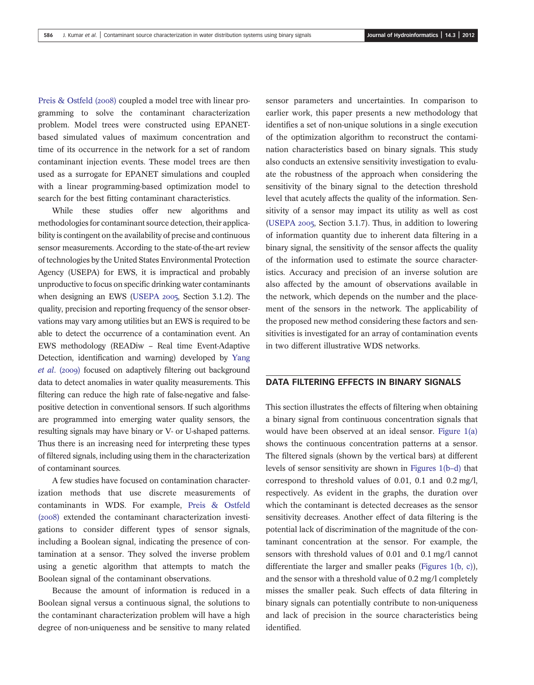Preis & Ostfeld (2008) coupled a model tree with linear programming to solve the contaminant characterization problem. Model trees were constructed using EPANETbased simulated values of maximum concentration and time of its occurrence in the network for a set of random contaminant injection events. These model trees are then used as a surrogate for EPANET simulations and coupled with a linear programming-based optimization model to search for the best fitting contaminant characteristics.

While these studies offer new algorithms and methodologies for contaminant source detection, their applicability is contingent on the availability of precise and continuous sensor measurements. According to the state-of-the-art review of technologies by the United States Environmental Protection Agency (USEPA) for EWS, it is impractical and probably unproductive to focus on specific drinking water contaminants when designing an EWS (USEPA  $2005$ , Section 3.1.2). The quality, precision and reporting frequency of the sensor observations may vary among utilities but an EWS is required to be able to detect the occurrence of a contamination event. An EWS methodology (READiw – Real time Event-Adaptive Detection, identification and warning) developed by Yang et al. (2009) focused on adaptively filtering out background data to detect anomalies in water quality measurements. This filtering can reduce the high rate of false-negative and falsepositive detection in conventional sensors. If such algorithms are programmed into emerging water quality sensors, the resulting signals may have binary or V- or U-shaped patterns. Thus there is an increasing need for interpreting these types of filtered signals, including using them in the characterization of contaminant sources.

A few studies have focused on contamination characterization methods that use discrete measurements of contaminants in WDS. For example, Preis & Ostfeld (2008) extended the contaminant characterization investigations to consider different types of sensor signals, including a Boolean signal, indicating the presence of contamination at a sensor. They solved the inverse problem using a genetic algorithm that attempts to match the Boolean signal of the contaminant observations.

Because the amount of information is reduced in a Boolean signal versus a continuous signal, the solutions to the contaminant characterization problem will have a high degree of non-uniqueness and be sensitive to many related sensor parameters and uncertainties. In comparison to earlier work, this paper presents a new methodology that identifies a set of non-unique solutions in a single execution of the optimization algorithm to reconstruct the contamination characteristics based on binary signals. This study also conducts an extensive sensitivity investigation to evaluate the robustness of the approach when considering the sensitivity of the binary signal to the detection threshold level that acutely affects the quality of the information. Sensitivity of a sensor may impact its utility as well as cost (USEPA  $2005$ , Section 3.1.7). Thus, in addition to lowering of information quantity due to inherent data filtering in a binary signal, the sensitivity of the sensor affects the quality of the information used to estimate the source characteristics. Accuracy and precision of an inverse solution are also affected by the amount of observations available in the network, which depends on the number and the placement of the sensors in the network. The applicability of the proposed new method considering these factors and sensitivities is investigated for an array of contamination events in two different illustrative WDS networks.

## DATA FILTERING EFFECTS IN BINARY SIGNALS

This section illustrates the effects of filtering when obtaining a binary signal from continuous concentration signals that would have been observed at an ideal sensor. Figure 1(a) shows the continuous concentration patterns at a sensor. The filtered signals (shown by the vertical bars) at different levels of sensor sensitivity are shown in Figures 1(b–d) that correspond to threshold values of 0.01, 0.1 and 0.2 mg/l, respectively. As evident in the graphs, the duration over which the contaminant is detected decreases as the sensor sensitivity decreases. Another effect of data filtering is the potential lack of discrimination of the magnitude of the contaminant concentration at the sensor. For example, the sensors with threshold values of 0.01 and 0.1 mg/l cannot differentiate the larger and smaller peaks (Figures 1(b, c)), and the sensor with a threshold value of 0.2 mg/l completely misses the smaller peak. Such effects of data filtering in binary signals can potentially contribute to non-uniqueness and lack of precision in the source characteristics being identified.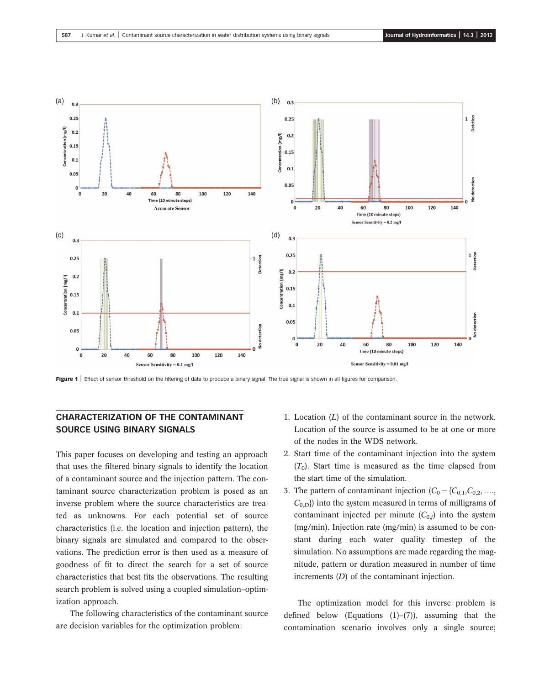

Figure 1 | Effect of sensor threshold on the filtering of data to produce a binary signal. The true signal is shown in all figures for comparison.

# CHARACTERIZATION OF THE CONTAMINANT SOURCE USING BINARY SIGNALS

This paper focuses on developing and testing an approach that uses the filtered binary signals to identify the location of a contaminant source and the injection pattern. The contaminant source characterization problem is posed as an inverse problem where the source characteristics are treated as unknowns. For each potential set of source characteristics (i.e. the location and injection pattern), the binary signals are simulated and compared to the observations. The prediction error is then used as a measure of goodness of fit to direct the search for a set of source characteristics that best fits the observations. The resulting search problem is solved using a coupled simulation–optimization approach.

The following characteristics of the contaminant source are decision variables for the optimization problem:

- 1. Location  $(L)$  of the contaminant source in the network. Location of the source is assumed to be at one or more of the nodes in the WDS network.
- 2. Start time of the contaminant injection into the system  $(T_0)$ . Start time is measured as the time elapsed from the start time of the simulation.
- 3. The pattern of contaminant injection  $(C_0 = \{C_{0,1}, C_{0,2}, \ldots, C_{n+1}\})$  $(C_{0,D})$ ) into the system measured in terms of milligrams of contaminant injected per minute  $(C_{0,i})$  into the system (mg/min). Injection rate (mg/min) is assumed to be constant during each water quality timestep of the simulation. No assumptions are made regarding the magnitude, pattern or duration measured in number of time increments (D) of the contaminant injection.

The optimization model for this inverse problem is defined below (Equations  $(1)$ – $(7)$ ), assuming that the contamination scenario involves only a single source;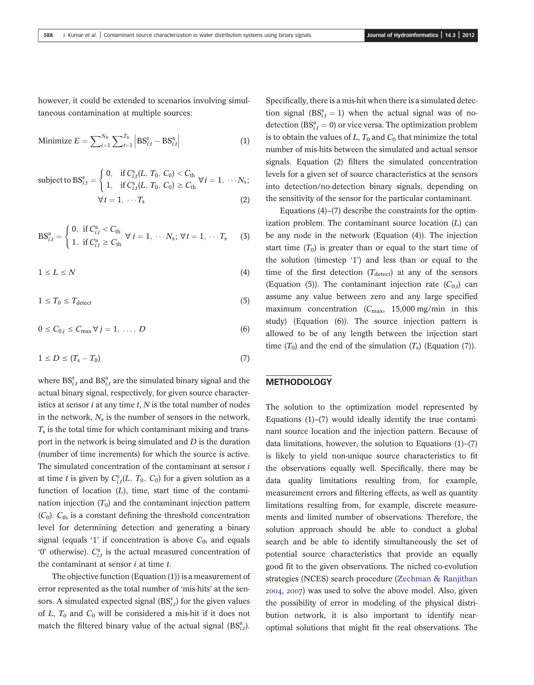however, it could be extended to scenarios involving simultaneous contamination at multiple sources:

Minimize 
$$
E = \sum_{i=1}^{N_{\rm S}} \sum_{t=1}^{T_{\rm S}} |BS_{i,t}^{\rm s} - BS_{i,t}^{\rm a}|
$$
 (1)

subject to 
$$
BS_{i,t}^{s} = \begin{cases} 0, & \text{if } C_{i,t}^{s}(L, T_0, C_0) < C_{\text{th}} \\ 1, & \text{if } C_{i,t}^{s}(L, T_0, C_0) \ge C_{\text{th}} \end{cases} \forall i = 1, \dots N_s;
$$
  

$$
\forall t = 1, \dots T_s
$$
 (2)

$$
BS_{i,t}^{a} = \begin{cases} 0, & \text{if } C_{i,t}^{a} < C_{th} \\ 1, & \text{if } C_{i,t}^{a} \ge C_{th} \end{cases} \forall i = 1, \cdots N_{s}; \forall t = 1, \cdots T_{s} \tag{3}
$$

$$
1 \le L \le N \tag{4}
$$

$$
1 \leq T_0 \leq T_{\text{detect}} \tag{5}
$$

$$
0 \leq C_{0,j} \leq C_{\max} \forall j = 1, \ldots, D \tag{6}
$$

$$
1 \le D \le (T_s - T_0) \tag{7}
$$

where  $\text{BS}_{i,t}^s$  and  $\text{BS}_{i,t}^a$  are the simulated binary signal and the actual binary signal, respectively, for given source characteristics at sensor  $i$  at any time  $t$ ,  $N$  is the total number of nodes in the network,  $N_s$  is the number of sensors in the network,  $T<sub>s</sub>$  is the total time for which contaminant mixing and transport in the network is being simulated and D is the duration (number of time increments) for which the source is active. The simulated concentration of the contaminant at sensor i at time t is given by  $C_{i,t}^s(L, T_0, C_0)$  for a given solution as a function of location  $(L)$ , time, start time of the contamination injection  $(T_0)$  and the contaminant injection pattern  $(C_0)$ .  $C_{\text{th}}$  is a constant defining the threshold concentration level for determining detection and generating a binary signal (equals '1' if concentration is above  $C_{th}$  and equals '0' otherwise).  $C_{i,t}^a$  is the actual measured concentration of the contaminant at sensor  $i$  at time  $t$ .

The objective function (Equation (1)) is a measurement of error represented as the total number of 'mis-hits' at the sensors. A simulated expected signal  $(BS<sub>i,t</sub><sup>s</sup>)$  for the given values of  $L, T_0$  and  $C_0$  will be considered a mis-hit if it does not match the filtered binary value of the actual signal  $(BS<sub>i,t</sub><sup>a</sup>)$ .

Specifically, there is a mis-hit when there is a simulated detection signal  $(BS<sub>i,t</sub><sup>s</sup> = 1)$  when the actual signal was of nodetection ( $BS_{i,t}^a = 0$ ) or vice versa. The optimization problem is to obtain the values of  $L, T_0$  and  $C_0$  that minimize the total number of mis-hits between the simulated and actual sensor signals. Equation (2) filters the simulated concentration levels for a given set of source characteristics at the sensors into detection/no-detection binary signals, depending on the sensitivity of the sensor for the particular contaminant.

Equations (4)–(7) describe the constraints for the optimization problem. The contaminant source location  $(L)$  can be any node in the network (Equation (4)). The injection start time  $(T_0)$  is greater than or equal to the start time of the solution (timestep '1') and less than or equal to the time of the first detection  $(T_{\text{detect}})$  at any of the sensors (Equation (5)). The contaminant injection rate  $(C_{0,t})$  can assume any value between zero and any large specified maximum concentration  $(C_{\text{max}}, 15,000 \text{ mg/min}$  in this study) (Equation (6)). The source injection pattern is allowed to be of any length between the injection start time  $(T_0)$  and the end of the simulation  $(T_s)$  (Equation  $(7)$ ).

### **METHODOLOGY**

The solution to the optimization model represented by Equations (1)–(7) would ideally identify the true contaminant source location and the injection pattern. Because of data limitations, however, the solution to Equations  $(1)$ – $(7)$ is likely to yield non-unique source characteristics to fit the observations equally well. Specifically, there may be data quality limitations resulting from, for example, measurement errors and filtering effects, as well as quantity limitations resulting from, for example, discrete measurements and limited number of observations. Therefore, the solution approach should be able to conduct a global search and be able to identify simultaneously the set of potential source characteristics that provide an equally good fit to the given observations. The niched co-evolution strategies (NCES) search procedure (Zechman & Ranjithan  $2004$ ,  $2007$ ) was used to solve the above model. Also, given the possibility of error in modeling of the physical distribution network, it is also important to identify nearoptimal solutions that might fit the real observations. The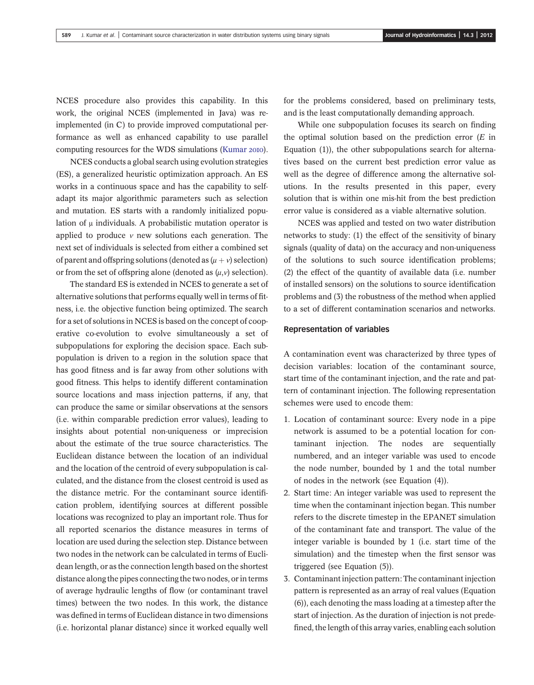NCES procedure also provides this capability. In this work, the original NCES (implemented in Java) was reimplemented (in  $C$ ) to provide improved computational performance as well as enhanced capability to use parallel computing resources for the WDS simulations (Kumar 2010).

NCES conducts a global search using evolution strategies (ES), a generalized heuristic optimization approach. An ES works in a continuous space and has the capability to selfadapt its major algorithmic parameters such as selection and mutation. ES starts with a randomly initialized population of μ individuals. A probabilistic mutation operator is applied to produce  $\nu$  new solutions each generation. The next set of individuals is selected from either a combined set of parent and offspring solutions (denoted as  $(\mu + v)$  selection) or from the set of offspring alone (denoted as  $(\mu, \nu)$  selection).

The standard ES is extended in NCES to generate a set of alternative solutions that performs equally well in terms of fitness, i.e. the objective function being optimized. The search for a set of solutions in NCES is based on the concept of cooperative co-evolution to evolve simultaneously a set of subpopulations for exploring the decision space. Each subpopulation is driven to a region in the solution space that has good fitness and is far away from other solutions with good fitness. This helps to identify different contamination source locations and mass injection patterns, if any, that can produce the same or similar observations at the sensors (i.e. within comparable prediction error values), leading to insights about potential non-uniqueness or imprecision about the estimate of the true source characteristics. The Euclidean distance between the location of an individual and the location of the centroid of every subpopulation is calculated, and the distance from the closest centroid is used as the distance metric. For the contaminant source identification problem, identifying sources at different possible locations was recognized to play an important role. Thus for all reported scenarios the distance measures in terms of location are used during the selection step. Distance between two nodes in the network can be calculated in terms of Euclidean length, or as the connection length based on the shortest distance along the pipes connecting the two nodes, or in terms of average hydraulic lengths of flow (or contaminant travel times) between the two nodes. In this work, the distance was defined in terms of Euclidean distance in two dimensions (i.e. horizontal planar distance) since it worked equally well

for the problems considered, based on preliminary tests, and is the least computationally demanding approach.

While one subpopulation focuses its search on finding the optimal solution based on the prediction error  $(E \text{ in } E)$ Equation (1)), the other subpopulations search for alternatives based on the current best prediction error value as well as the degree of difference among the alternative solutions. In the results presented in this paper, every solution that is within one mis-hit from the best prediction error value is considered as a viable alternative solution.

NCES was applied and tested on two water distribution networks to study: (1) the effect of the sensitivity of binary signals (quality of data) on the accuracy and non-uniqueness of the solutions to such source identification problems; (2) the effect of the quantity of available data (i.e. number of installed sensors) on the solutions to source identification problems and (3) the robustness of the method when applied to a set of different contamination scenarios and networks.

#### Representation of variables

A contamination event was characterized by three types of decision variables: location of the contaminant source, start time of the contaminant injection, and the rate and pattern of contaminant injection. The following representation schemes were used to encode them:

- 1. Location of contaminant source: Every node in a pipe network is assumed to be a potential location for contaminant injection. The nodes are sequentially numbered, and an integer variable was used to encode the node number, bounded by 1 and the total number of nodes in the network (see Equation (4)).
- 2. Start time: An integer variable was used to represent the time when the contaminant injection began. This number refers to the discrete timestep in the EPANET simulation of the contaminant fate and transport. The value of the integer variable is bounded by 1 (i.e. start time of the simulation) and the timestep when the first sensor was triggered (see Equation (5)).
- 3. Contaminant injection pattern: The contaminant injection pattern is represented as an array of real values (Equation (6)), each denoting the mass loading at a timestep after the start of injection. As the duration of injection is not predefined, the length of this array varies, enabling each solution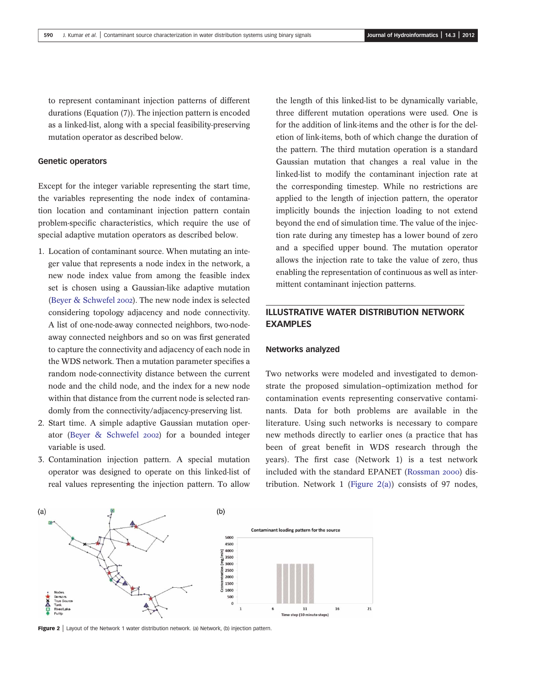to represent contaminant injection patterns of different durations (Equation (7)). The injection pattern is encoded as a linked-list, along with a special feasibility-preserving mutation operator as described below.

### Genetic operators

Except for the integer variable representing the start time, the variables representing the node index of contamination location and contaminant injection pattern contain problem-specific characteristics, which require the use of special adaptive mutation operators as described below.

- 1. Location of contaminant source. When mutating an integer value that represents a node index in the network, a new node index value from among the feasible index set is chosen using a Gaussian-like adaptive mutation (Beyer & Schwefel 2002). The new node index is selected considering topology adjacency and node connectivity. A list of one-node-away connected neighbors, two-nodeaway connected neighbors and so on was first generated to capture the connectivity and adjacency of each node in the WDS network. Then a mutation parameter specifies a random node-connectivity distance between the current node and the child node, and the index for a new node within that distance from the current node is selected randomly from the connectivity/adjacency-preserving list.
- 2. Start time. A simple adaptive Gaussian mutation operator (Beyer & Schwefel 2002) for a bounded integer variable is used.
- 3. Contamination injection pattern. A special mutation operator was designed to operate on this linked-list of real values representing the injection pattern. To allow

the length of this linked-list to be dynamically variable, three different mutation operations were used. One is for the addition of link-items and the other is for the deletion of link-items, both of which change the duration of the pattern. The third mutation operation is a standard Gaussian mutation that changes a real value in the linked-list to modify the contaminant injection rate at the corresponding timestep. While no restrictions are applied to the length of injection pattern, the operator implicitly bounds the injection loading to not extend beyond the end of simulation time. The value of the injection rate during any timestep has a lower bound of zero and a specified upper bound. The mutation operator allows the injection rate to take the value of zero, thus enabling the representation of continuous as well as intermittent contaminant injection patterns.

# ILLUSTRATIVE WATER DISTRIBUTION NETWORK EXAMPLES

#### Networks analyzed

Two networks were modeled and investigated to demonstrate the proposed simulation–optimization method for contamination events representing conservative contaminants. Data for both problems are available in the literature. Using such networks is necessary to compare new methods directly to earlier ones (a practice that has been of great benefit in WDS research through the years). The first case (Network 1) is a test network included with the standard EPANET (Rossman 2000) distribution. Network 1 (Figure  $2(a)$ ) consists of 97 nodes,



Figure 2 | Layout of the Network 1 water distribution network. (a) Network, (b) injection pattern.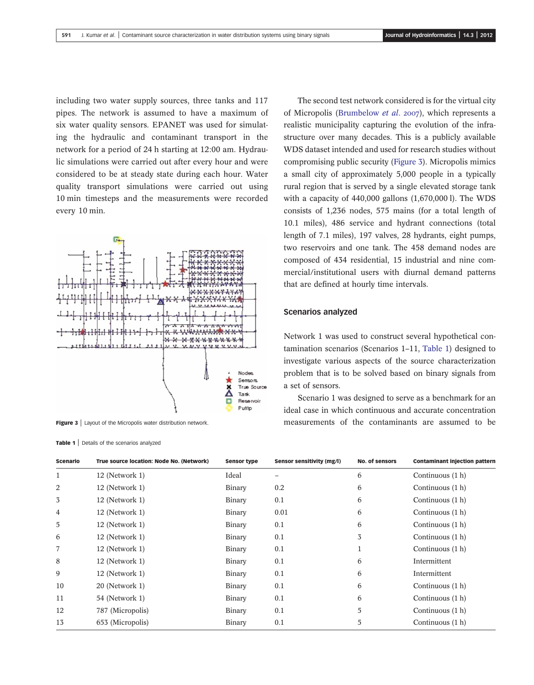including two water supply sources, three tanks and 117 pipes. The network is assumed to have a maximum of six water quality sensors. EPANET was used for simulating the hydraulic and contaminant transport in the network for a period of 24 h starting at 12:00 am. Hydraulic simulations were carried out after every hour and were considered to be at steady state during each hour. Water quality transport simulations were carried out using 10 min timesteps and the measurements were recorded every 10 min.



Figure 3 | Layout of the Micropolis water distribution network.

Table 1 | Details of the scenarios analyzed

The second test network considered is for the virtual city of Micropolis (Brumbelow *et al.* 2007), which represents a realistic municipality capturing the evolution of the infrastructure over many decades. This is a publicly available WDS dataset intended and used for research studies without compromising public security (Figure 3). Micropolis mimics a small city of approximately 5,000 people in a typically rural region that is served by a single elevated storage tank with a capacity of 440,000 gallons (1,670,000 l). The WDS consists of 1,236 nodes, 575 mains (for a total length of 10.1 miles), 486 service and hydrant connections (total length of 7.1 miles), 197 valves, 28 hydrants, eight pumps, two reservoirs and one tank. The 458 demand nodes are composed of 434 residential, 15 industrial and nine commercial/institutional users with diurnal demand patterns that are defined at hourly time intervals.

#### Scenarios analyzed

Network 1 was used to construct several hypothetical contamination scenarios (Scenarios 1–11, Table 1) designed to investigate various aspects of the source characterization problem that is to be solved based on binary signals from a set of sensors.

Scenario 1 was designed to serve as a benchmark for an ideal case in which continuous and accurate concentration measurements of the contaminants are assumed to be

| Scenario     | True source location: Node No. (Network) | <b>Sensor type</b> | Sensor sensitivity (mg/l) | <b>No. of sensors</b> | <b>Contaminant injection pattern</b> |
|--------------|------------------------------------------|--------------------|---------------------------|-----------------------|--------------------------------------|
| $\mathbf{1}$ | 12 (Network 1)                           | Ideal              |                           | 6                     | Continuous (1 h)                     |
| 2            | 12 (Network 1)                           | Binary             | 0.2                       | 6                     | Continuous (1 h)                     |
| 3            | 12 (Network 1)                           | Binary             | 0.1                       | 6                     | Continuous (1 h)                     |
| 4            | 12 (Network 1)                           | Binary             | 0.01                      | 6                     | Continuous (1 h)                     |
| 5            | 12 (Network 1)                           | Binary             | 0.1                       | 6                     | Continuous (1 h)                     |
| 6            | 12 (Network 1)                           | Binary             | 0.1                       | 3                     | Continuous (1 h)                     |
| 7            | 12 (Network 1)                           | Binary             | 0.1                       |                       | Continuous (1 h)                     |
| 8            | 12 (Network 1)                           | Binary             | 0.1                       | 6                     | Intermittent                         |
| 9            | 12 (Network 1)                           | Binary             | 0.1                       | 6                     | Intermittent                         |
| 10           | 20 (Network 1)                           | Binary             | 0.1                       | 6                     | Continuous (1 h)                     |
| 11           | 54 (Network 1)                           | Binary             | 0.1                       | 6                     | Continuous (1 h)                     |
| 12           | 787 (Micropolis)                         | Binary             | 0.1                       | 5                     | Continuous (1 h)                     |
| 13           | 653 (Micropolis)                         | Binary             | 0.1                       | 5                     | Continuous (1 h)                     |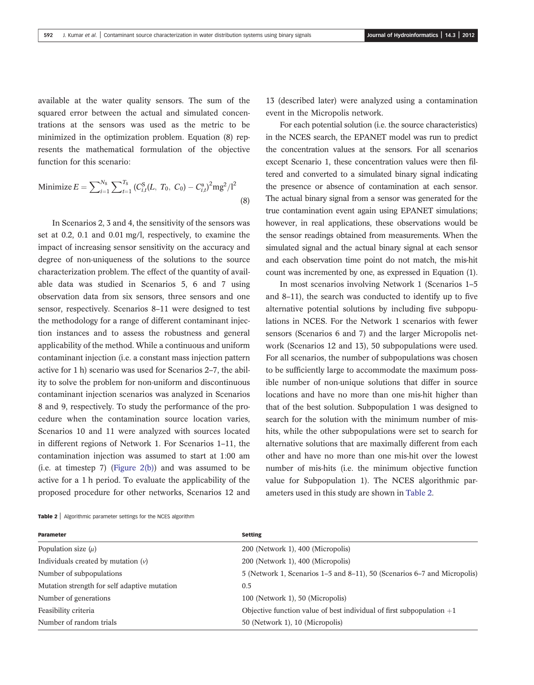available at the water quality sensors. The sum of the squared error between the actual and simulated concentrations at the sensors was used as the metric to be minimized in the optimization problem. Equation (8) represents the mathematical formulation of the objective function for this scenario:

Minimize 
$$
E = \sum_{i=1}^{N_s} \sum_{t=1}^{T_s} (C_{i,t}^S (L, T_0, C_0) - C_{i,t}^a)^2 m g^2 / l^2
$$
 (8)

In Scenarios 2, 3 and 4, the sensitivity of the sensors was set at 0.2, 0.1 and 0.01 mg/l, respectively, to examine the impact of increasing sensor sensitivity on the accuracy and degree of non-uniqueness of the solutions to the source characterization problem. The effect of the quantity of available data was studied in Scenarios 5, 6 and 7 using observation data from six sensors, three sensors and one sensor, respectively. Scenarios 8–11 were designed to test the methodology for a range of different contaminant injection instances and to assess the robustness and general applicability of the method. While a continuous and uniform contaminant injection (i.e. a constant mass injection pattern active for 1 h) scenario was used for Scenarios 2–7, the ability to solve the problem for non-uniform and discontinuous contaminant injection scenarios was analyzed in Scenarios 8 and 9, respectively. To study the performance of the procedure when the contamination source location varies, Scenarios 10 and 11 were analyzed with sources located in different regions of Network 1. For Scenarios 1–11, the contamination injection was assumed to start at 1:00 am (i.e. at timestep 7) (Figure  $2(b)$ ) and was assumed to be active for a 1 h period. To evaluate the applicability of the proposed procedure for other networks, Scenarios 12 and 13 (described later) were analyzed using a contamination event in the Micropolis network.

For each potential solution (i.e. the source characteristics) in the NCES search, the EPANET model was run to predict the concentration values at the sensors. For all scenarios except Scenario 1, these concentration values were then filtered and converted to a simulated binary signal indicating the presence or absence of contamination at each sensor. The actual binary signal from a sensor was generated for the true contamination event again using EPANET simulations; however, in real applications, these observations would be the sensor readings obtained from measurements. When the simulated signal and the actual binary signal at each sensor and each observation time point do not match, the mis-hit count was incremented by one, as expressed in Equation (1).

In most scenarios involving Network 1 (Scenarios 1–5 and 8–11), the search was conducted to identify up to five alternative potential solutions by including five subpopulations in NCES. For the Network 1 scenarios with fewer sensors (Scenarios 6 and 7) and the larger Micropolis network (Scenarios 12 and 13), 50 subpopulations were used. For all scenarios, the number of subpopulations was chosen to be sufficiently large to accommodate the maximum possible number of non-unique solutions that differ in source locations and have no more than one mis-hit higher than that of the best solution. Subpopulation 1 was designed to search for the solution with the minimum number of mishits, while the other subpopulations were set to search for alternative solutions that are maximally different from each other and have no more than one mis-hit over the lowest number of mis-hits (i.e. the minimum objective function value for Subpopulation 1). The NCES algorithmic parameters used in this study are shown in Table 2.

Table 2 | Algorithmic parameter settings for the NCES algorithm

| <b>Parameter</b>                             | <b>Setting</b>                                                           |
|----------------------------------------------|--------------------------------------------------------------------------|
| Population size $(\mu)$                      | 200 (Network 1), 400 (Micropolis)                                        |
| Individuals created by mutation $(v)$        | 200 (Network 1), 400 (Micropolis)                                        |
| Number of subpopulations                     | 5 (Network 1, Scenarios 1–5 and 8–11), 50 (Scenarios 6–7 and Micropolis) |
| Mutation strength for self adaptive mutation | 0.5                                                                      |
| Number of generations                        | 100 (Network 1), 50 (Micropolis)                                         |
| Feasibility criteria                         | Objective function value of best individual of first subpopulation $+1$  |
| Number of random trials                      | 50 (Network 1), 10 (Micropolis)                                          |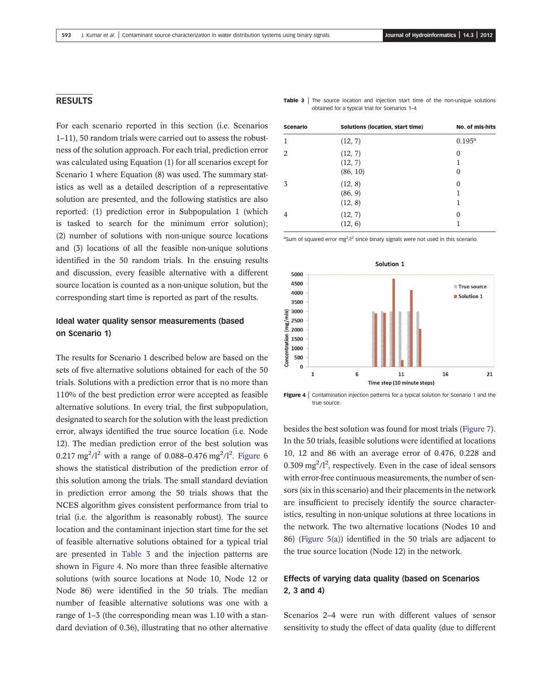### RESULTS

For each scenario reported in this section (i.e. Scenarios 1–11), 50 random trials were carried out to assess the robustness of the solution approach. For each trial, prediction error was calculated using Equation (1) for all scenarios except for Scenario 1 where Equation (8) was used. The summary statistics as well as a detailed description of a representative solution are presented, and the following statistics are also reported: (1) prediction error in Subpopulation 1 (which is tasked to search for the minimum error solution); (2) number of solutions with non-unique source locations and (3) locations of all the feasible non-unique solutions identified in the 50 random trials. In the ensuing results and discussion, every feasible alternative with a different source location is counted as a non-unique solution, but the corresponding start time is reported as part of the results.

## Ideal water quality sensor measurements (based on Scenario 1)

The results for Scenario 1 described below are based on the sets of five alternative solutions obtained for each of the 50 trials. Solutions with a prediction error that is no more than 110% of the best prediction error were accepted as feasible alternative solutions. In every trial, the first subpopulation, designated to search for the solution with the least prediction error, always identified the true source location (i.e. Node 12). The median prediction error of the best solution was 0.217 mg<sup>2</sup>/l<sup>2</sup> with a range of 0.088-0.476 mg<sup>2</sup>/l<sup>2</sup>. Figure 6 shows the statistical distribution of the prediction error of this solution among the trials. The small standard deviation in prediction error among the 50 trials shows that the NCES algorithm gives consistent performance from trial to trial (i.e. the algorithm is reasonably robust). The source location and the contaminant injection start time for the set of feasible alternative solutions obtained for a typical trial are presented in Table 3 and the injection patterns are shown in Figure 4. No more than three feasible alternative solutions (with source locations at Node 10, Node 12 or Node 86) were identified in the 50 trials. The median number of feasible alternative solutions was one with a range of 1–3 (the corresponding mean was 1.10 with a standard deviation of 0.36), illustrating that no other alternative

Scenario Solutions (location, start time) No. of mis-hits 1 (12, 7) 0.195<sup>a</sup> 2 (12, 7) 0  $(12, 7)$  1 (86, 10) 0  $3(12, 8)$  0 (86, 9) 1  $(12, 8)$  1 4  $(12, 7)$  0  $(12, 6)$  1

**Table 3** The source location and injection start time of the non-unique solutions

obtained for a typical trial for Scenarios 1–4

<sup>a</sup>Sum of squared error mg<sup>2</sup>/l<sup>2</sup> since binary signals were not used in this scenario.



Figure 4 | Contamination injection patterns for a typical solution for Scenario 1 and the true source.

besides the best solution was found for most trials (Figure 7). In the 50 trials, feasible solutions were identified at locations 10, 12 and 86 with an average error of 0.476, 0.228 and 0.309 mg<sup>2</sup>/l<sup>2</sup>, respectively. Even in the case of ideal sensors with error-free continuous measurements, the number of sensors (six in this scenario) and their placements in the network are insufficient to precisely identify the source characteristics, resulting in non-unique solutions at three locations in the network. The two alternative locations (Nodes 10 and 86) (Figure 5(a)) identified in the 50 trials are adjacent to the true source location (Node 12) in the network.

# Effects of varying data quality (based on Scenarios 2, 3 and 4)

Scenarios 2–4 were run with different values of sensor sensitivity to study the effect of data quality (due to different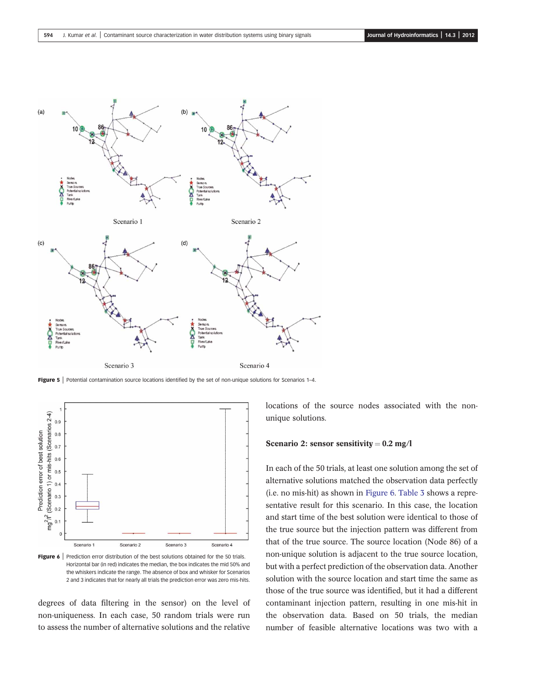

Figure 5 | Potential contamination source locations identified by the set of non-unique solutions for Scenarios 1–4.



Figure 6 | Prediction error distribution of the best solutions obtained for the 50 trials. Horizontal bar (in red) indicates the median, the box indicates the mid 50% and the whiskers indicate the range. The absence of box and whisker for Scenarios 2 and 3 indicates that for nearly all trials the prediction error was zero mis-hits.

degrees of data filtering in the sensor) on the level of non-uniqueness. In each case, 50 random trials were run to assess the number of alternative solutions and the relative

locations of the source nodes associated with the nonunique solutions.

#### Scenario 2: sensor sensitivity =  $0.2$  mg/l

In each of the 50 trials, at least one solution among the set of alternative solutions matched the observation data perfectly (i.e. no mis-hit) as shown in Figure 6. Table 3 shows a representative result for this scenario. In this case, the location and start time of the best solution were identical to those of the true source but the injection pattern was different from that of the true source. The source location (Node 86) of a non-unique solution is adjacent to the true source location, but with a perfect prediction of the observation data. Another solution with the source location and start time the same as those of the true source was identified, but it had a different contaminant injection pattern, resulting in one mis-hit in the observation data. Based on 50 trials, the median number of feasible alternative locations was two with a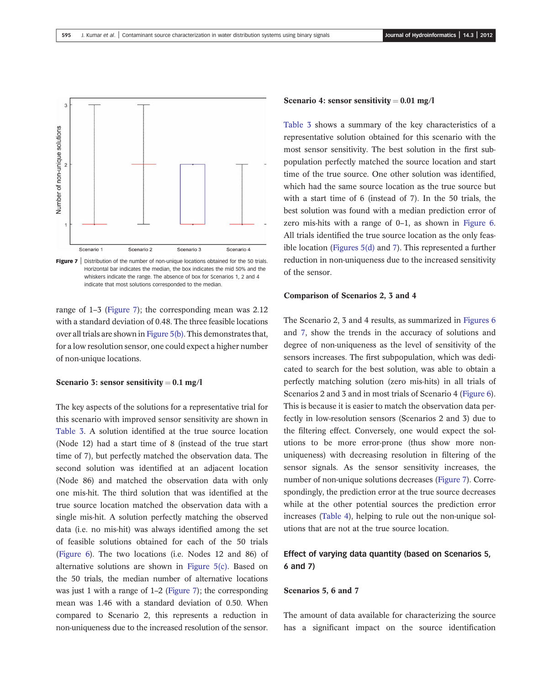

**Figure 7** Distribution of the number of non-unique locations obtained for the 50 trials. Horizontal bar indicates the median, the box indicates the mid 50% and the whiskers indicate the range. The absence of box for Scenarios 1, 2 and 4 indicate that most solutions corresponded to the median.

range of 1–3 (Figure 7); the corresponding mean was 2.12 with a standard deviation of 0.48. The three feasible locations over all trials are shown in Figure 5(b). This demonstrates that, for a low resolution sensor, one could expect a higher number of non-unique locations.

#### Scenario 3: sensor sensitivity =  $0.1$  mg/l

The key aspects of the solutions for a representative trial for this scenario with improved sensor sensitivity are shown in Table 3. A solution identified at the true source location (Node 12) had a start time of 8 (instead of the true start time of 7), but perfectly matched the observation data. The second solution was identified at an adjacent location (Node 86) and matched the observation data with only one mis-hit. The third solution that was identified at the true source location matched the observation data with a single mis-hit. A solution perfectly matching the observed data (i.e. no mis-hit) was always identified among the set of feasible solutions obtained for each of the 50 trials (Figure 6). The two locations (i.e. Nodes 12 and 86) of alternative solutions are shown in Figure 5(c). Based on the 50 trials, the median number of alternative locations was just 1 with a range of 1–2 (Figure 7); the corresponding mean was 1.46 with a standard deviation of 0.50. When compared to Scenario 2, this represents a reduction in non-uniqueness due to the increased resolution of the sensor.

#### Scenario 4: sensor sensitivity =  $0.01$  mg/l

Table 3 shows a summary of the key characteristics of a representative solution obtained for this scenario with the most sensor sensitivity. The best solution in the first subpopulation perfectly matched the source location and start time of the true source. One other solution was identified, which had the same source location as the true source but with a start time of 6 (instead of 7). In the 50 trials, the best solution was found with a median prediction error of zero mis-hits with a range of 0–1, as shown in Figure 6. All trials identified the true source location as the only feasible location (Figures 5(d) and 7). This represented a further reduction in non-uniqueness due to the increased sensitivity of the sensor.

#### Comparison of Scenarios 2, 3 and 4

The Scenario 2, 3 and 4 results, as summarized in Figures 6 and 7, show the trends in the accuracy of solutions and degree of non-uniqueness as the level of sensitivity of the sensors increases. The first subpopulation, which was dedicated to search for the best solution, was able to obtain a perfectly matching solution (zero mis-hits) in all trials of Scenarios 2 and 3 and in most trials of Scenario 4 (Figure 6). This is because it is easier to match the observation data perfectly in low-resolution sensors (Scenarios 2 and 3) due to the filtering effect. Conversely, one would expect the solutions to be more error-prone (thus show more nonuniqueness) with decreasing resolution in filtering of the sensor signals. As the sensor sensitivity increases, the number of non-unique solutions decreases (Figure 7). Correspondingly, the prediction error at the true source decreases while at the other potential sources the prediction error increases (Table 4), helping to rule out the non-unique solutions that are not at the true source location.

# Effect of varying data quantity (based on Scenarios 5, 6 and 7)

#### Scenarios 5, 6 and 7

The amount of data available for characterizing the source has a significant impact on the source identification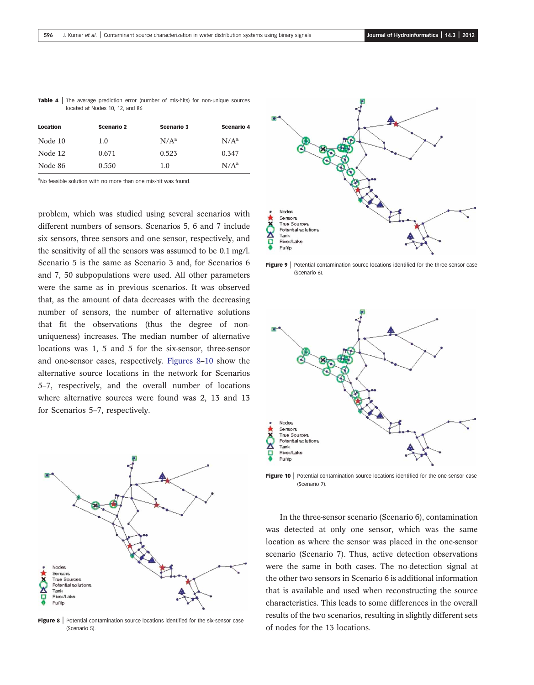| <b>Table 4</b> The average prediction error (number of mis-hits) for non-unique sources |  |
|-----------------------------------------------------------------------------------------|--|
| located at Nodes 10, 12, and 86                                                         |  |

| Location | <b>Scenario 2</b> | <b>Scenario 3</b> | <b>Scenario 4</b> |
|----------|-------------------|-------------------|-------------------|
| Node 10  | 1.0               | $N/A^a$           | $N/A^a$           |
| Node 12  | 0.671             | 0.523             | 0.347             |
| Node 86  | 0.550             | 1.0               | N/A <sup>a</sup>  |

aNo feasible solution with no more than one mis-hit was found.

problem, which was studied using several scenarios with different numbers of sensors. Scenarios 5, 6 and 7 include six sensors, three sensors and one sensor, respectively, and the sensitivity of all the sensors was assumed to be 0.1 mg/l. Scenario 5 is the same as Scenario 3 and, for Scenarios 6 and 7, 50 subpopulations were used. All other parameters were the same as in previous scenarios. It was observed that, as the amount of data decreases with the decreasing number of sensors, the number of alternative solutions that fit the observations (thus the degree of nonuniqueness) increases. The median number of alternative locations was 1, 5 and 5 for the six-sensor, three-sensor and one-sensor cases, respectively. Figures 8–10 show the alternative source locations in the network for Scenarios 5–7, respectively, and the overall number of locations where alternative sources were found was 2, 13 and 13 for Scenarios 5–7, respectively.



Figure 8 | Potential contamination source locations identified for the six-sensor case (Scenario 5).



Figure 9 | Potential contamination source locations identified for the three-sensor case (Scenario 6).



**Figure 10** | Potential contamination source locations identified for the one-sensor case (Scenario 7).

In the three-sensor scenario (Scenario 6), contamination was detected at only one sensor, which was the same location as where the sensor was placed in the one-sensor scenario (Scenario 7). Thus, active detection observations were the same in both cases. The no-detection signal at the other two sensors in Scenario 6 is additional information that is available and used when reconstructing the source characteristics. This leads to some differences in the overall results of the two scenarios, resulting in slightly different sets of nodes for the 13 locations.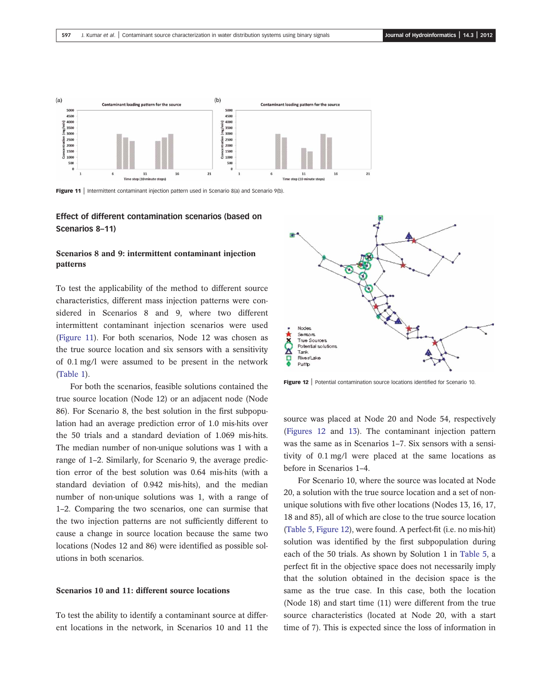

Figure 11 | Intermittent contaminant injection pattern used in Scenario 8(a) and Scenario 9(b).

### Effect of different contamination scenarios (based on Scenarios 8–11)

### Scenarios 8 and 9: intermittent contaminant injection patterns

To test the applicability of the method to different source characteristics, different mass injection patterns were considered in Scenarios 8 and 9, where two different intermittent contaminant injection scenarios were used (Figure 11). For both scenarios, Node 12 was chosen as the true source location and six sensors with a sensitivity of 0.1 mg/l were assumed to be present in the network (Table 1).

For both the scenarios, feasible solutions contained the true source location (Node 12) or an adjacent node (Node 86). For Scenario 8, the best solution in the first subpopulation had an average prediction error of 1.0 mis-hits over the 50 trials and a standard deviation of 1.069 mis-hits. The median number of non-unique solutions was 1 with a range of 1–2. Similarly, for Scenario 9, the average prediction error of the best solution was 0.64 mis-hits (with a standard deviation of 0.942 mis-hits), and the median number of non-unique solutions was 1, with a range of 1–2. Comparing the two scenarios, one can surmise that the two injection patterns are not sufficiently different to cause a change in source location because the same two locations (Nodes 12 and 86) were identified as possible solutions in both scenarios.

#### Scenarios 10 and 11: different source locations

To test the ability to identify a contaminant source at different locations in the network, in Scenarios 10 and 11 the



Figure 12 | Potential contamination source locations identified for Scenario 10.

source was placed at Node 20 and Node 54, respectively (Figures 12 and 13). The contaminant injection pattern was the same as in Scenarios 1–7. Six sensors with a sensitivity of 0.1 mg/l were placed at the same locations as before in Scenarios 1–4.

For Scenario 10, where the source was located at Node 20, a solution with the true source location and a set of nonunique solutions with five other locations (Nodes 13, 16, 17, 18 and 85), all of which are close to the true source location (Table 5, Figure 12), were found. A perfect-fit (i.e. no mis-hit) solution was identified by the first subpopulation during each of the 50 trials. As shown by Solution 1 in Table 5, a perfect fit in the objective space does not necessarily imply that the solution obtained in the decision space is the same as the true case. In this case, both the location (Node 18) and start time (11) were different from the true source characteristics (located at Node 20, with a start time of 7). This is expected since the loss of information in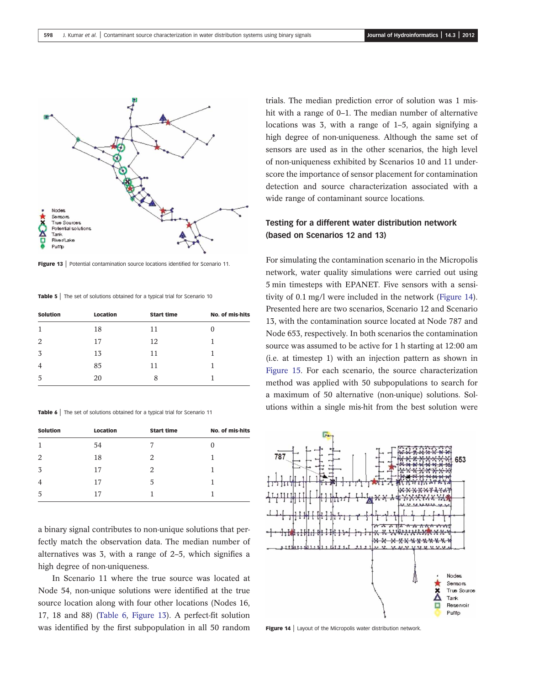

Figure 13 | Potential contamination source locations identified for Scenario 11.

Table 5 | The set of solutions obtained for a typical trial for Scenario 10

| <b>Solution</b> | Location | <b>Start time</b> | No. of mis-hits |
|-----------------|----------|-------------------|-----------------|
| 1               | 18       | 11                |                 |
| 2               | 17       | 12                |                 |
| 3               | 13       | 11                |                 |
| $\overline{4}$  | 85       | 11                |                 |
| 5               | 20       | 8                 |                 |

Table 6 | The set of solutions obtained for a typical trial for Scenario 11

| <b>Solution</b> | Location | <b>Start time</b> | No. of mis-hits |
|-----------------|----------|-------------------|-----------------|
| $\mathbf{1}$    | 54       |                   |                 |
| 2               | 18       | 2                 |                 |
| 3               | 17       | 2                 |                 |
| $\overline{4}$  | 17       | 5                 |                 |
| 5               | 17       |                   |                 |

a binary signal contributes to non-unique solutions that perfectly match the observation data. The median number of alternatives was 3, with a range of 2–5, which signifies a high degree of non-uniqueness.

In Scenario 11 where the true source was located at Node 54, non-unique solutions were identified at the true source location along with four other locations (Nodes 16, 17, 18 and 88) (Table 6, Figure 13). A perfect-fit solution was identified by the first subpopulation in all 50 random trials. The median prediction error of solution was 1 mishit with a range of 0–1. The median number of alternative locations was 3, with a range of 1–5, again signifying a high degree of non-uniqueness. Although the same set of sensors are used as in the other scenarios, the high level of non-uniqueness exhibited by Scenarios 10 and 11 underscore the importance of sensor placement for contamination detection and source characterization associated with a wide range of contaminant source locations.

# Testing for a different water distribution network (based on Scenarios 12 and 13)

For simulating the contamination scenario in the Micropolis network, water quality simulations were carried out using 5 min timesteps with EPANET. Five sensors with a sensitivity of 0.1 mg/l were included in the network (Figure 14). Presented here are two scenarios, Scenario 12 and Scenario 13, with the contamination source located at Node 787 and Node 653, respectively. In both scenarios the contamination source was assumed to be active for 1 h starting at 12:00 am (i.e. at timestep 1) with an injection pattern as shown in Figure 15. For each scenario, the source characterization method was applied with 50 subpopulations to search for a maximum of 50 alternative (non-unique) solutions. Solutions within a single mis-hit from the best solution were



Figure 14 | Layout of the Micropolis water distribution network.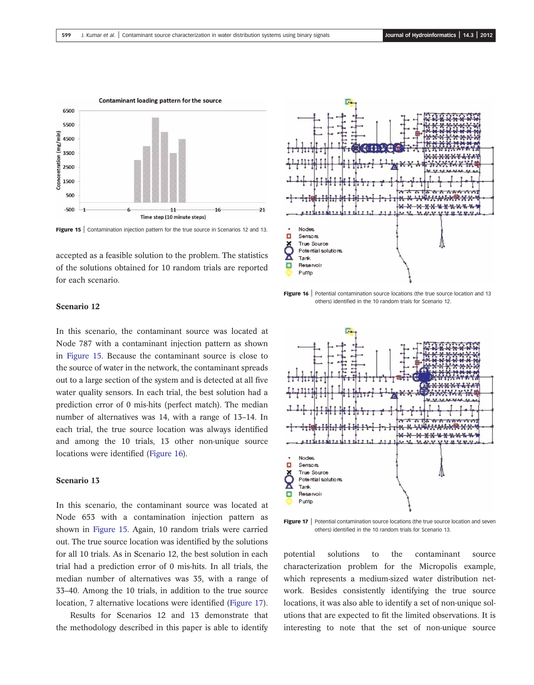

Figure 15 | Contamination injection pattern for the true source in Scenarios 12 and 13.

accepted as a feasible solution to the problem. The statistics of the solutions obtained for 10 random trials are reported for each scenario.

# $\mathbf{x}$ <u>xxxxxxxx</u> Nodes п Sensors True Source Potential solutions x Tark Reservoir о Pump

### Scenario 12

In this scenario, the contaminant source was located at Node 787 with a contaminant injection pattern as shown in Figure 15. Because the contaminant source is close to the source of water in the network, the contaminant spreads out to a large section of the system and is detected at all five water quality sensors. In each trial, the best solution had a prediction error of 0 mis-hits (perfect match). The median number of alternatives was 14, with a range of 13–14. In each trial, the true source location was always identified and among the 10 trials, 13 other non-unique source locations were identified (Figure 16).

#### Scenario 13

In this scenario, the contaminant source was located at Node 653 with a contamination injection pattern as shown in Figure 15. Again, 10 random trials were carried out. The true source location was identified by the solutions for all 10 trials. As in Scenario 12, the best solution in each trial had a prediction error of 0 mis-hits. In all trials, the median number of alternatives was 35, with a range of 33–40. Among the 10 trials, in addition to the true source location, 7 alternative locations were identified (Figure 17).

Results for Scenarios 12 and 13 demonstrate that the methodology described in this paper is able to identify

Figure 16 | Potential contamination source locations (the true source location and 13 others) identified in the 10 random trials for Scenario 12.



others) identified in the 10 random trials for Scenario 13.

potential solutions to the contaminant source characterization problem for the Micropolis example, which represents a medium-sized water distribution network. Besides consistently identifying the true source locations, it was also able to identify a set of non-unique solutions that are expected to fit the limited observations. It is interesting to note that the set of non-unique source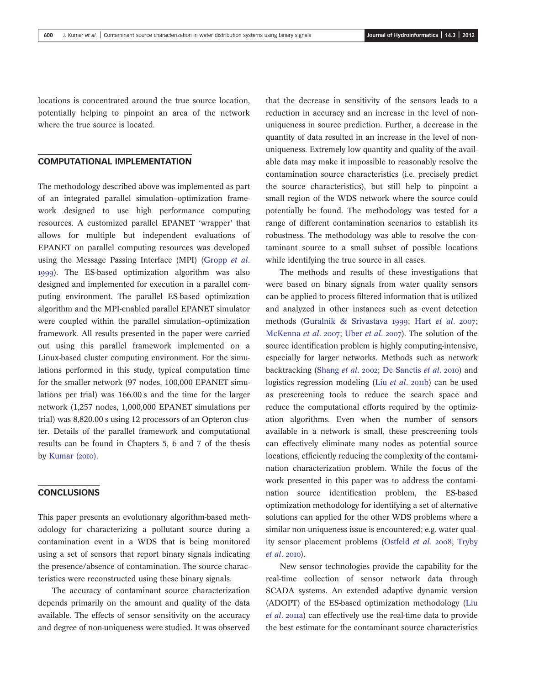locations is concentrated around the true source location, potentially helping to pinpoint an area of the network where the true source is located.

### COMPUTATIONAL IMPLEMENTATION

The methodology described above was implemented as part of an integrated parallel simulation–optimization framework designed to use high performance computing resources. A customized parallel EPANET 'wrapper' that allows for multiple but independent evaluations of EPANET on parallel computing resources was developed using the Message Passing Interface (MPI) (Gropp et al. ). The ES-based optimization algorithm was also designed and implemented for execution in a parallel computing environment. The parallel ES-based optimization algorithm and the MPI-enabled parallel EPANET simulator were coupled within the parallel simulation–optimization framework. All results presented in the paper were carried out using this parallel framework implemented on a Linux-based cluster computing environment. For the simulations performed in this study, typical computation time for the smaller network (97 nodes, 100,000 EPANET simulations per trial) was 166.00 s and the time for the larger network (1,257 nodes, 1,000,000 EPANET simulations per trial) was 8,820.00 s using 12 processors of an Opteron cluster. Details of the parallel framework and computational results can be found in Chapters 5, 6 and 7 of the thesis by Kumar  $(20I0)$ .

# **CONCLUSIONS**

This paper presents an evolutionary algorithm-based methodology for characterizing a pollutant source during a contamination event in a WDS that is being monitored using a set of sensors that report binary signals indicating the presence/absence of contamination. The source characteristics were reconstructed using these binary signals.

The accuracy of contaminant source characterization depends primarily on the amount and quality of the data available. The effects of sensor sensitivity on the accuracy and degree of non-uniqueness were studied. It was observed that the decrease in sensitivity of the sensors leads to a reduction in accuracy and an increase in the level of nonuniqueness in source prediction. Further, a decrease in the quantity of data resulted in an increase in the level of nonuniqueness. Extremely low quantity and quality of the available data may make it impossible to reasonably resolve the contamination source characteristics (i.e. precisely predict the source characteristics), but still help to pinpoint a small region of the WDS network where the source could potentially be found. The methodology was tested for a range of different contamination scenarios to establish its robustness. The methodology was able to resolve the contaminant source to a small subset of possible locations while identifying the true source in all cases.

The methods and results of these investigations that were based on binary signals from water quality sensors can be applied to process filtered information that is utilized and analyzed in other instances such as event detection methods (Guralnik & Srivastava 1999; Hart et al. 2007; McKenna et al. 2007; Uber et al. 2007). The solution of the source identification problem is highly computing-intensive, especially for larger networks. Methods such as network backtracking (Shang et al. 2002; De Sanctis et al. 2010) and logistics regression modeling (Liu  $et$  al. 2011b) can be used as prescreening tools to reduce the search space and reduce the computational efforts required by the optimization algorithms. Even when the number of sensors available in a network is small, these prescreening tools can effectively eliminate many nodes as potential source locations, efficiently reducing the complexity of the contamination characterization problem. While the focus of the work presented in this paper was to address the contamination source identification problem, the ES-based optimization methodology for identifying a set of alternative solutions can applied for the other WDS problems where a similar non-uniqueness issue is encountered; e.g. water quality sensor placement problems (Ostfeld et al. 2008; Tryby  $et al. 20I0.$ 

New sensor technologies provide the capability for the real-time collection of sensor network data through SCADA systems. An extended adaptive dynamic version (ADOPT) of the ES-based optimization methodology (Liu et al. 2011a) can effectively use the real-time data to provide the best estimate for the contaminant source characteristics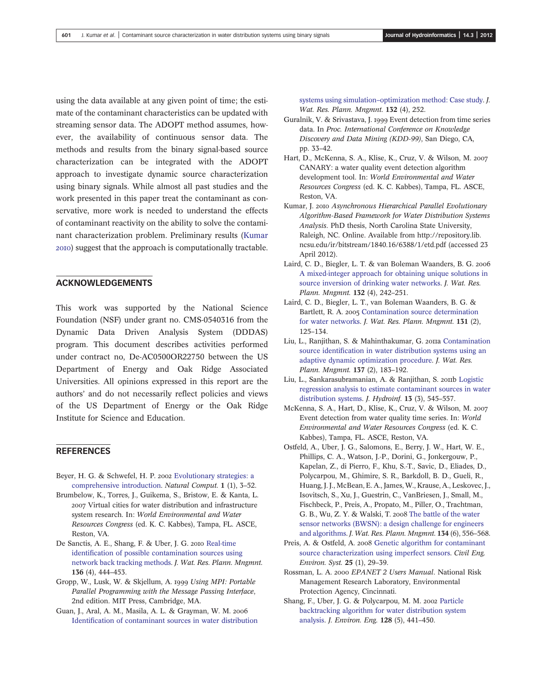using the data available at any given point of time; the estimate of the contaminant characteristics can be updated with streaming sensor data. The ADOPT method assumes, however, the availability of continuous sensor data. The methods and results from the binary signal-based source characterization can be integrated with the ADOPT approach to investigate dynamic source characterization using binary signals. While almost all past studies and the work presented in this paper treat the contaminant as conservative, more work is needed to understand the effects of contaminant reactivity on the ability to solve the contaminant characterization problem. Preliminary results (Kumar ) suggest that the approach is computationally tractable.

### ACKNOWLEDGEMENTS

This work was supported by the National Science Foundation (NSF) under grant no. CMS-0540316 from the Dynamic Data Driven Analysis System (DDDAS) program. This document describes activities performed under contract no, De-AC0500OR22750 between the US Department of Energy and Oak Ridge Associated Universities. All opinions expressed in this report are the authors' and do not necessarily reflect policies and views of the US Department of Energy or the Oak Ridge Institute for Science and Education.

### **REFERENCES**

- Beyer, H. G. & Schwefel, H. P. 2002 [Evolutionary strategies: a](http://dx.doi.org/10.1023/A:1015059928466) [comprehensive introduction.](http://dx.doi.org/10.1023/A:1015059928466) Natural Comput. 1 (1), 3–52.
- Brumbelow, K., Torres, J., Guikema, S., Bristow, E. & Kanta, L. 2007 Virtual cities for water distribution and infrastructure system research. In: World Environmental and Water Resources Congress (ed. K. C. Kabbes), Tampa, FL. ASCE, Reston, VA.
- De Sanctis, A. E., Shang, F. & Uber, J. G. 2010 [Real-time](http://dx.doi.org/10.1061/(ASCE)WR.1943-5452.0000050) identifi[cation of possible contamination sources using](http://dx.doi.org/10.1061/(ASCE)WR.1943-5452.0000050) [network back tracking methods](http://dx.doi.org/10.1061/(ASCE)WR.1943-5452.0000050). J. Wat. Res. Plann. Mngmnt. 136 (4), 444–453.
- Gropp, W., Lusk, W. & Skjellum, A. 1999 Using MPI: Portable Parallel Programming with the Message Passing Interface, 2nd edition. MIT Press, Cambridge, MA.
- Guan, J., Aral, A. M., Masila, A. L. & Grayman, W. M. Identifi[cation of contaminant sources in water distribution](http://dx.doi.org/10.1061/(ASCE)0733-9496(2006)132:4(252))

systems using simulation–[optimization method: Case study](http://dx.doi.org/10.1061/(ASCE)0733-9496(2006)132:4(252)). J. Wat. Res. Plann. Mngmnt. 132 (4), 252.

- Guralnik, V. & Srivastava, J. 1999 Event detection from time series data. In Proc. International Conference on Knowledge Discovery and Data Mining (KDD-99), San Diego, CA, pp. 33–42.
- Hart, D., McKenna, S. A., Klise, K., Cruz, V. & Wilson, M. CANARY: a water quality event detection algorithm development tool. In: World Environmental and Water Resources Congress (ed. K. C. Kabbes), Tampa, FL. ASCE, Reston, VA.
- Kumar, J. 2010 Asynchronous Hierarchical Parallel Evolutionary Algorithm-Based Framework for Water Distribution Systems Analysis. PhD thesis, North Carolina State University, Raleigh, NC. Online. Available from http://repository.lib. ncsu.edu/ir/bitstream/1840.16/6388/1/etd.pdf (accessed 23 April 2012).
- Laird, C. D., Biegler, L. T. & van Boleman Waanders, B. G. [A mixed-integer approach for obtaining unique solutions in](http://dx.doi.org/10.1061/(ASCE)0733-9496(2006)132:4(242)) [source inversion of drinking water networks.](http://dx.doi.org/10.1061/(ASCE)0733-9496(2006)132:4(242)) J. Wat. Res. Plann. Mngmnt. 132 (4), 242–251.
- Laird, C. D., Biegler, L. T., van Boleman Waanders, B. G. & Bartlett, R. A. 2005 [Contamination source determination](http://dx.doi.org/10.1061/(ASCE)0733-9496(2005)131:2(125)) [for water networks.](http://dx.doi.org/10.1061/(ASCE)0733-9496(2005)131:2(125)) J. Wat. Res. Plann. Mngmnt. 131 (2), 125–134.
- Liu, L., Ranjithan, S. & Mahinthakumar, G. 2011a [Contamination](http://dx.doi.org/10.1061/(ASCE)WR.1943-5452.0000104) source identifi[cation in water distribution systems using an](http://dx.doi.org/10.1061/(ASCE)WR.1943-5452.0000104) [adaptive dynamic optimization procedure](http://dx.doi.org/10.1061/(ASCE)WR.1943-5452.0000104). J. Wat. Res. Plann. Mngmnt. 137 (2), 183–192.
- Liu, L., Sankarasubramanian, A. & Ranjithan, S. 2011b [Logistic](http://dx.doi.org/10.2166/hydro.2010.106) [regression analysis to estimate contaminant sources in water](http://dx.doi.org/10.2166/hydro.2010.106) [distribution systems](http://dx.doi.org/10.2166/hydro.2010.106). *J. Hydroinf.* 13 (3), 545-557.
- McKenna, S. A., Hart, D., Klise, K., Cruz, V. & Wilson, M. Event detection from water quality time series. In: World Environmental and Water Resources Congress (ed. K. C. Kabbes), Tampa, FL. ASCE, Reston, VA.
- Ostfeld, A., Uber, J. G., Salomons, E., Berry, J. W., Hart, W. E., Phillips, C. A., Watson, J.-P., Dorini, G., Jonkergouw, P., Kapelan, Z., di Pierro, F., Khu, S.-T., Savic, D., Eliades, D., Polycarpou, M., Ghimire, S. R., Barkdoll, B. D., Gueli, R., Huang, J. J., McBean, E. A., James,W., Krause, A., Leskovec, J., Isovitsch, S., Xu, J., Guestrin, C., VanBriesen, J., Small, M., Fischbeck, P., Preis, A., Propato, M., Piller, O., Trachtman, G. B., Wu, Z. Y. & Walski, T. 2008 [The battle of the water](http://dx.doi.org/10.1061/(ASCE)0733-9496(2008)134:6(556)) [sensor networks \(BWSN\): a design challenge for engineers](http://dx.doi.org/10.1061/(ASCE)0733-9496(2008)134:6(556)) [and algorithms](http://dx.doi.org/10.1061/(ASCE)0733-9496(2008)134:6(556)). J. Wat. Res. Plann. Mngmnt. 134 (6), 556–568.
- Preis, A. & Ostfeld, A. 2008 [Genetic algorithm for contaminant](http://dx.doi.org/10.1080/10286600701695471) [source characterization using imperfect sensors.](http://dx.doi.org/10.1080/10286600701695471) Civil Eng. Environ. Syst. 25 (1), 29–39.
- Rossman, L. A. 2000 EPANET 2 Users Manual. National Risk Management Research Laboratory, Environmental Protection Agency, Cincinnati.
- Shang, F., Uber, J. G. & Polycarpou, M. M. 2002 [Particle](http://dx.doi.org/10.1061/(ASCE)0733-9372(2002)128:5(441)) [backtracking algorithm for water distribution system](http://dx.doi.org/10.1061/(ASCE)0733-9372(2002)128:5(441)) [analysis](http://dx.doi.org/10.1061/(ASCE)0733-9372(2002)128:5(441)). J. Environ. Eng. 128 (5), 441–450.